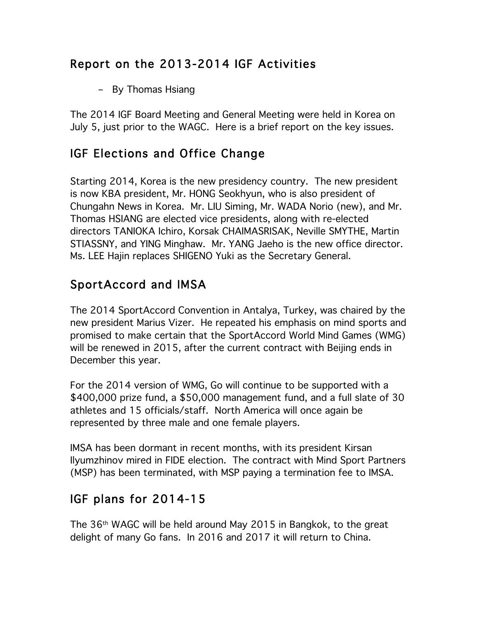## Report on the 2013-2014 IGF Activities

– By Thomas Hsiang

The 2014 IGF Board Meeting and General Meeting were held in Korea on July 5, just prior to the WAGC. Here is a brief report on the key issues.

## IGF Elections and Office Change

Starting 2014, Korea is the new presidency country. The new president is now KBA president, Mr. HONG Seokhyun, who is also president of Chungahn News in Korea. Mr. LIU Siming, Mr. WADA Norio (new), and Mr. Thomas HSIANG are elected vice presidents, along with re-elected directors TANIOKA Ichiro, Korsak CHAIMASRISAK, Neville SMYTHE, Martin STIASSNY, and YING Minghaw. Mr. YANG Jaeho is the new office director. Ms. LEE Hajin replaces SHIGENO Yuki as the Secretary General.

## SportAccord and IMSA

The 2014 SportAccord Convention in Antalya, Turkey, was chaired by the new president Marius Vizer. He repeated his emphasis on mind sports and promised to make certain that the SportAccord World Mind Games (WMG) will be renewed in 2015, after the current contract with Beijing ends in December this year.

For the 2014 version of WMG, Go will continue to be supported with a \$400,000 prize fund, a \$50,000 management fund, and a full slate of 30 athletes and 15 officials/staff. North America will once again be represented by three male and one female players.

IMSA has been dormant in recent months, with its president Kirsan Ilyumzhinov mired in FIDE election. The contract with Mind Sport Partners (MSP) has been terminated, with MSP paying a termination fee to IMSA.

## IGF plans for 2014-15

The 36th WAGC will be held around May 2015 in Bangkok, to the great delight of many Go fans. In 2016 and 2017 it will return to China.